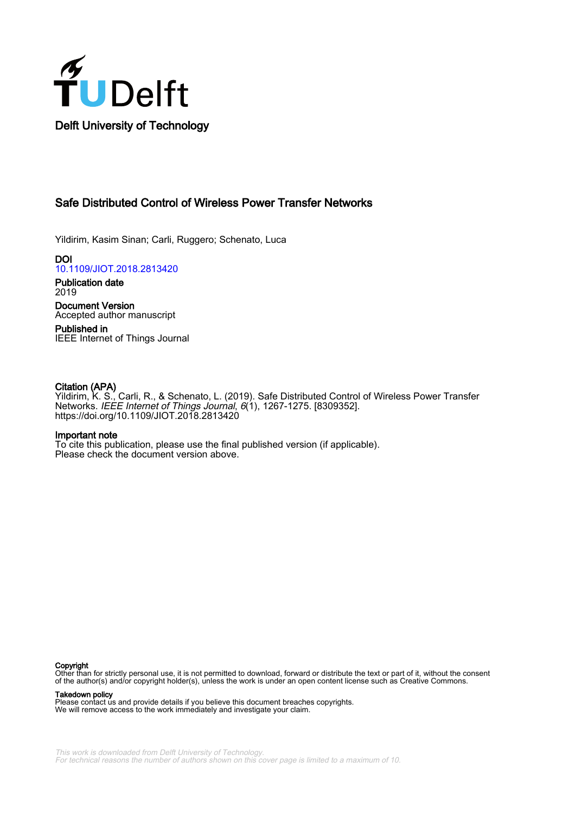

# Safe Distributed Control of Wireless Power Transfer Networks

Yildirim, Kasim Sinan; Carli, Ruggero; Schenato, Luca

**DOI** [10.1109/JIOT.2018.2813420](https://doi.org/10.1109/JIOT.2018.2813420)

Publication date 2019

Document Version Accepted author manuscript

Published in IEEE Internet of Things Journal

# Citation (APA)

Yildirim, K. S., Carli, R., & Schenato, L. (2019). Safe Distributed Control of Wireless Power Transfer Networks. IEEE Internet of Things Journal, 6(1), 1267-1275. [8309352]. <https://doi.org/10.1109/JIOT.2018.2813420>

# Important note

To cite this publication, please use the final published version (if applicable). Please check the document version above.

#### Copyright

Other than for strictly personal use, it is not permitted to download, forward or distribute the text or part of it, without the consent of the author(s) and/or copyright holder(s), unless the work is under an open content license such as Creative Commons.

Takedown policy

Please contact us and provide details if you believe this document breaches copyrights. We will remove access to the work immediately and investigate your claim.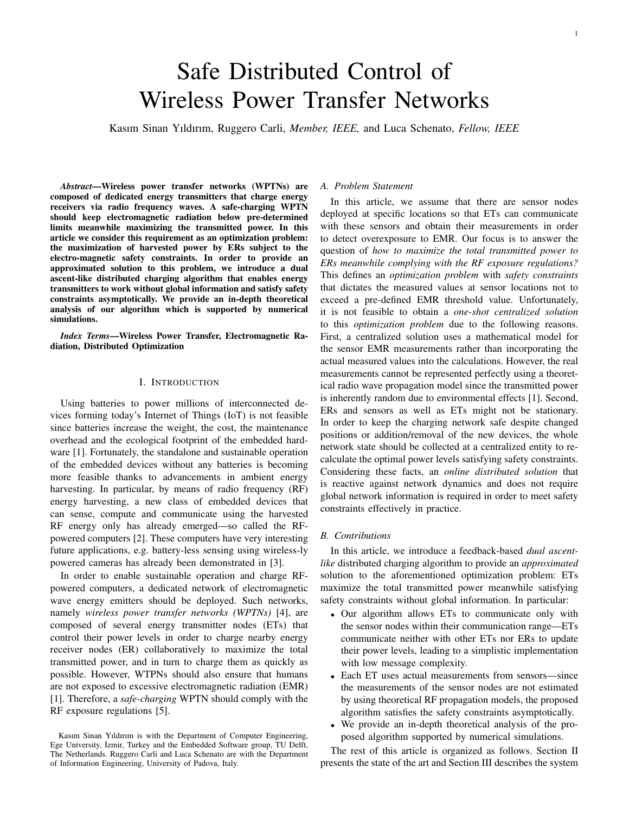# Safe Distributed Control of Wireless Power Transfer Networks

Kasım Sinan Yıldırım, Ruggero Carli, *Member, IEEE,* and Luca Schenato, *Fellow, IEEE*

*Abstract*—Wireless power transfer networks (WPTNs) are composed of dedicated energy transmitters that charge energy receivers via radio frequency waves. A safe-charging WPTN should keep electromagnetic radiation below pre-determined limits meanwhile maximizing the transmitted power. In this article we consider this requirement as an optimization problem: the maximization of harvested power by ERs subject to the electro-magnetic safety constraints. In order to provide an approximated solution to this problem, we introduce a dual ascent-like distributed charging algorithm that enables energy transmitters to work without global information and satisfy safety constraints asymptotically. We provide an in-depth theoretical analysis of our algorithm which is supported by numerical simulations.

*Index Terms*—Wireless Power Transfer, Electromagnetic Radiation, Distributed Optimization

# I. INTRODUCTION

Using batteries to power millions of interconnected devices forming today's Internet of Things (IoT) is not feasible since batteries increase the weight, the cost, the maintenance overhead and the ecological footprint of the embedded hardware [1]. Fortunately, the standalone and sustainable operation of the embedded devices without any batteries is becoming more feasible thanks to advancements in ambient energy harvesting. In particular, by means of radio frequency (RF) energy harvesting, a new class of embedded devices that can sense, compute and communicate using the harvested RF energy only has already emerged—so called the RFpowered computers [2]. These computers have very interesting future applications, e.g. battery-less sensing using wireless-ly powered cameras has already been demonstrated in [3].

In order to enable sustainable operation and charge RFpowered computers, a dedicated network of electromagnetic wave energy emitters should be deployed. Such networks, namely *wireless power transfer networks (WPTNs)* [4], are composed of several energy transmitter nodes (ETs) that control their power levels in order to charge nearby energy receiver nodes (ER) collaboratively to maximize the total transmitted power, and in turn to charge them as quickly as possible. However, WTPNs should also ensure that humans are not exposed to excessive electromagnetic radiation (EMR) [1]. Therefore, a *safe-charging* WPTN should comply with the RF exposure regulations [5].

#### *A. Problem Statement*

In this article, we assume that there are sensor nodes deployed at specific locations so that ETs can communicate with these sensors and obtain their measurements in order to detect overexposure to EMR. Our focus is to answer the question of *how to maximize the total transmitted power to ERs meanwhile complying with the RF exposure regulations?* This defines an *optimization problem* with *safety constraints* that dictates the measured values at sensor locations not to exceed a pre-defined EMR threshold value. Unfortunately, it is not feasible to obtain a *one-shot centralized solution* to this *optimization problem* due to the following reasons. First, a centralized solution uses a mathematical model for the sensor EMR measurements rather than incorporating the actual measured values into the calculations. However, the real measurements cannot be represented perfectly using a theoretical radio wave propagation model since the transmitted power is inherently random due to environmental effects [1]. Second, ERs and sensors as well as ETs might not be stationary. In order to keep the charging network safe despite changed positions or addition/removal of the new devices, the whole network state should be collected at a centralized entity to recalculate the optimal power levels satisfying safety constraints. Considering these facts, an *online distributed solution* that is reactive against network dynamics and does not require global network information is required in order to meet safety constraints effectively in practice.

#### *B. Contributions*

In this article, we introduce a feedback-based *dual ascentlike* distributed charging algorithm to provide an *approximated* solution to the aforementioned optimization problem: ETs maximize the total transmitted power meanwhile satisfying safety constraints without global information. In particular:

- Our algorithm allows ETs to communicate only with the sensor nodes within their communication range—ETs communicate neither with other ETs nor ERs to update their power levels, leading to a simplistic implementation with low message complexity.
- Each ET uses actual measurements from sensors—since the measurements of the sensor nodes are not estimated by using theoretical RF propagation models, the proposed algorithm satisfies the safety constraints asymptotically.
- We provide an in-depth theoretical analysis of the proposed algorithm supported by numerical simulations.

The rest of this article is organized as follows. Section II presents the state of the art and Section III describes the system

Kasım Sinan Yıldırım is with the Department of Computer Engineering, Ege University, İzmir, Turkey and the Embedded Software group, TU Delft, The Netherlands. Ruggero Carli and Luca Schenato are with the Department of Information Engineering, University of Padova, Italy.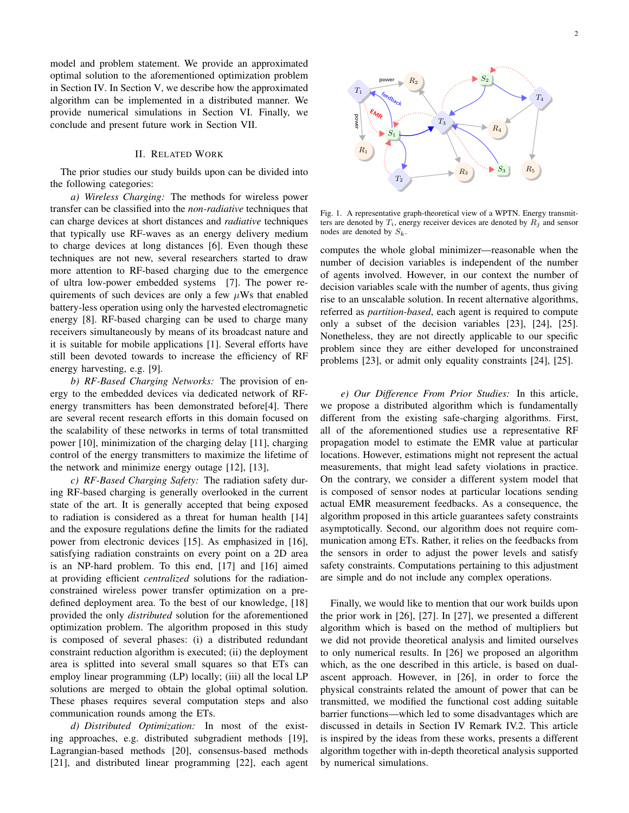model and problem statement. We provide an approximated optimal solution to the aforementioned optimization problem in Section IV. In Section V, we describe how the approximated algorithm can be implemented in a distributed manner. We provide numerical simulations in Section VI. Finally, we conclude and present future work in Section VII.

# II. RELATED WORK

The prior studies our study builds upon can be divided into the following categories:

*a) Wireless Charging:* The methods for wireless power transfer can be classified into the *non-radiative* techniques that can charge devices at short distances and *radiative* techniques that typically use RF-waves as an energy delivery medium to charge devices at long distances [6]. Even though these techniques are not new, several researchers started to draw more attention to RF-based charging due to the emergence of ultra low-power embedded systems [7]. The power requirements of such devices are only a few  $\mu$ Ws that enabled battery-less operation using only the harvested electromagnetic energy [8]. RF-based charging can be used to charge many receivers simultaneously by means of its broadcast nature and it is suitable for mobile applications [1]. Several efforts have still been devoted towards to increase the efficiency of RF energy harvesting, e.g. [9].

*b) RF-Based Charging Networks:* The provision of energy to the embedded devices via dedicated network of RFenergy transmitters has been demonstrated before[4]. There are several recent research efforts in this domain focused on the scalability of these networks in terms of total transmitted power [10], minimization of the charging delay [11], charging control of the energy transmitters to maximize the lifetime of the network and minimize energy outage [12], [13],

*c) RF-Based Charging Safety:* The radiation safety during RF-based charging is generally overlooked in the current state of the art. It is generally accepted that being exposed to radiation is considered as a threat for human health [14] and the exposure regulations define the limits for the radiated power from electronic devices [15]. As emphasized in [16], satisfying radiation constraints on every point on a 2D area is an NP-hard problem. To this end, [17] and [16] aimed at providing efficient *centralized* solutions for the radiationconstrained wireless power transfer optimization on a predefined deployment area. To the best of our knowledge, [18] provided the only *distributed* solution for the aforementioned optimization problem. The algorithm proposed in this study is composed of several phases: (i) a distributed redundant constraint reduction algorithm is executed; (ii) the deployment area is splitted into several small squares so that ETs can employ linear programming (LP) locally; (iii) all the local LP solutions are merged to obtain the global optimal solution. These phases requires several computation steps and also communication rounds among the ETs.

*d) Distributed Optimization:* In most of the existing approaches, e.g. distributed subgradient methods [19], Lagrangian-based methods [20], consensus-based methods [21], and distributed linear programming [22], each agent



Fig. 1. A representative graph-theoretical view of a WPTN. Energy transmitters are denoted by  $T_i$ , energy receiver devices are denoted by  $R_j$  and sensor nodes are denoted by  $S_k$ .

computes the whole global minimizer—reasonable when the number of decision variables is independent of the number of agents involved. However, in our context the number of decision variables scale with the number of agents, thus giving rise to an unscalable solution. In recent alternative algorithms, referred as *partition-based*, each agent is required to compute only a subset of the decision variables [23], [24], [25]. Nonetheless, they are not directly applicable to our specific problem since they are either developed for unconstrained problems [23], or admit only equality constraints [24], [25].

*e) Our Difference From Prior Studies:* In this article, we propose a distributed algorithm which is fundamentally different from the existing safe-charging algorithms. First, all of the aforementioned studies use a representative RF propagation model to estimate the EMR value at particular locations. However, estimations might not represent the actual measurements, that might lead safety violations in practice. On the contrary, we consider a different system model that is composed of sensor nodes at particular locations sending actual EMR measurement feedbacks. As a consequence, the algorithm proposed in this article guarantees safety constraints asymptotically. Second, our algorithm does not require communication among ETs. Rather, it relies on the feedbacks from the sensors in order to adjust the power levels and satisfy safety constraints. Computations pertaining to this adjustment are simple and do not include any complex operations.

Finally, we would like to mention that our work builds upon the prior work in [26], [27]. In [27], we presented a different algorithm which is based on the method of multipliers but we did not provide theoretical analysis and limited ourselves to only numerical results. In [26] we proposed an algorithm which, as the one described in this article, is based on dualascent approach. However, in [26], in order to force the physical constraints related the amount of power that can be transmitted, we modified the functional cost adding suitable barrier functions—which led to some disadvantages which are discussed in details in Section IV Remark IV.2. This article is inspired by the ideas from these works, presents a different algorithm together with in-depth theoretical analysis supported by numerical simulations.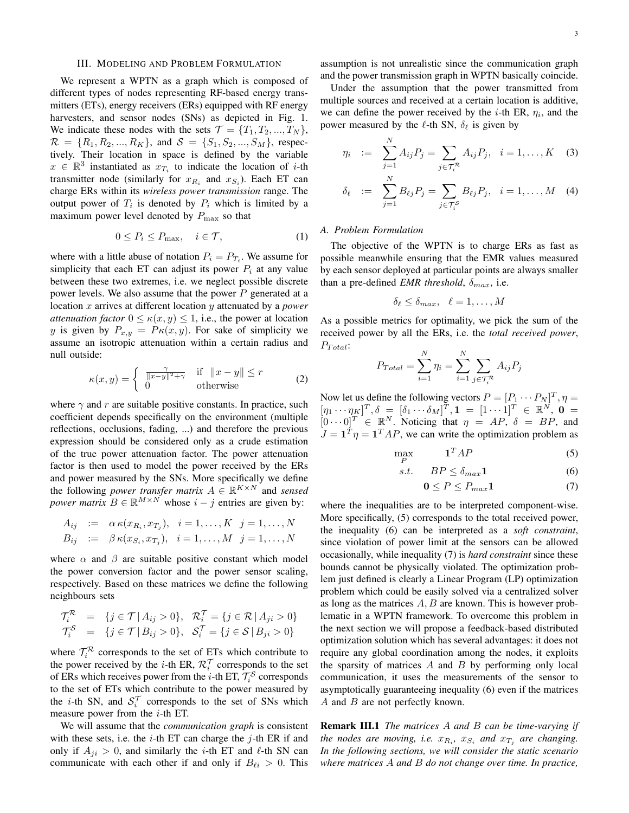#### III. MODELING AND PROBLEM FORMULATION

We represent a WPTN as a graph which is composed of different types of nodes representing RF-based energy transmitters (ETs), energy receivers (ERs) equipped with RF energy harvesters, and sensor nodes (SNs) as depicted in Fig. 1. We indicate these nodes with the sets  $\mathcal{T} = \{T_1, T_2, ..., T_N\},\$  $\mathcal{R} = \{R_1, R_2, ..., R_K\}$ , and  $\mathcal{S} = \{S_1, S_2, ..., S_M\}$ , respectively. Their location in space is defined by the variable  $x \in \mathbb{R}^3$  instantiated as  $x_{\overline{T}_i}$  to indicate the location of *i*-th transmitter node (similarly for  $x_{R_i}$  and  $x_{S_i}$ ). Each ET can charge ERs within its *wireless power transmission* range. The output power of  $T_i$  is denoted by  $P_i$  which is limited by a maximum power level denoted by  $P_{\text{max}}$  so that

$$
0 \le P_i \le P_{\text{max}}, \quad i \in \mathcal{T}, \tag{1}
$$

where with a little abuse of notation  $P_i = P_{T_i}$ . We assume for simplicity that each ET can adjust its power  $P_i$  at any value between these two extremes, i.e. we neglect possible discrete power levels. We also assume that the power  $P$  generated at a location x arrives at different location y attenuated by a *power attenuation factor*  $0 \le \kappa(x, y) \le 1$ , i.e., the power at location y is given by  $P_{x,y} = P\kappa(x,y)$ . For sake of simplicity we assume an isotropic attenuation within a certain radius and null outside:

$$
\kappa(x,y) = \begin{cases} \frac{\gamma}{\|x-y\|^2 + \gamma} & \text{if } \|x-y\| \le r\\ 0 & \text{otherwise} \end{cases}
$$
 (2)

where  $\gamma$  and r are suitable positive constants. In practice, such coefficient depends specifically on the environment (multiple reflections, occlusions, fading, ...) and therefore the previous expression should be considered only as a crude estimation of the true power attenuation factor. The power attenuation factor is then used to model the power received by the ERs and power measured by the SNs. More specifically we define the following *power transfer matrix*  $A \in \mathbb{R}^{K \times N}$  and *sensed power matrix*  $B \in \mathbb{R}^{M \times N}$  whose  $i - j$  entries are given by:

$$
A_{ij} := \alpha \kappa(x_{R_i}, x_{T_j}), \quad i = 1, \dots, K \quad j = 1, \dots, N
$$
  
\n
$$
B_{ij} := \beta \kappa(x_{S_i}, x_{T_j}), \quad i = 1, \dots, M \quad j = 1, \dots, N
$$

where  $\alpha$  and  $\beta$  are suitable positive constant which model the power conversion factor and the power sensor scaling, respectively. Based on these matrices we define the following neighbours sets

$$
\mathcal{T}_i^{\mathcal{R}} = \{ j \in \mathcal{T} | A_{ij} > 0 \}, \quad \mathcal{R}_i^{\mathcal{T}} = \{ j \in \mathcal{R} | A_{ji} > 0 \}
$$
\n
$$
\mathcal{T}_i^{\mathcal{S}} = \{ j \in \mathcal{T} | B_{ij} > 0 \}, \quad \mathcal{S}_i^{\mathcal{T}} = \{ j \in \mathcal{S} | B_{ji} > 0 \}
$$

where  $\mathcal{T}_i^{\mathcal{R}}$  corresponds to the set of ETs which contribute to the power received by the *i*-th ER,  $\mathcal{R}_i^{\mathcal{T}}$  corresponds to the set of ERs which receives power from the *i*-th ET,  $\mathcal{T}_i^S$  corresponds to the set of ETs which contribute to the power measured by the *i*-th SN, and  $S_i^{\mathcal{T}}$  corresponds to the set of SNs which measure power from the  $i$ -th ET.

We will assume that the *communication graph* is consistent with these sets, i.e. the  $i$ -th ET can charge the  $j$ -th ER if and only if  $A_{ji} > 0$ , and similarly the *i*-th ET and *l*-th SN can communicate with each other if and only if  $B_{\ell i} > 0$ . This

assumption is not unrealistic since the communication graph and the power transmission graph in WPTN basically coincide.

Under the assumption that the power transmitted from multiple sources and received at a certain location is additive, we can define the power received by the *i*-th ER,  $\eta_i$ , and the power measured by the  $\ell$ -th SN,  $\delta_{\ell}$  is given by

$$
\eta_i \ := \ \sum_{j=1}^N A_{ij} P_j = \sum_{j \in \mathcal{T}_i^{\mathcal{R}}} A_{ij} P_j, \ \ i = 1, \dots, K \quad (3)
$$

$$
\delta_{\ell} := \sum_{j=1}^{N} B_{\ell j} P_j = \sum_{j \in \mathcal{T}_{i}^S} B_{\ell j} P_j, \quad i = 1, ..., M \quad (4)
$$

# *A. Problem Formulation*

The objective of the WPTN is to charge ERs as fast as possible meanwhile ensuring that the EMR values measured by each sensor deployed at particular points are always smaller than a pre-defined *EMR threshold*,  $\delta_{max}$ , i.e.

$$
\delta_\ell \leq \delta_{max}, \quad \ell=1,\ldots,M
$$

As a possible metrics for optimality, we pick the sum of the received power by all the ERs, i.e. the *total received power*,  $P_{Total}$ :

$$
P_{Total} = \sum_{i=1}^{N} \eta_i = \sum_{i=1}^{N} \sum_{j \in \mathcal{T}_i^{\mathcal{R}}} A_{ij} P_j
$$

Now let us define the following vectors  $P = [P_1 \cdots P_N]^T$ ,  $\eta =$  $[\eta_1\cdots\eta_K]^T, \delta\ =\ [\delta_1\cdots\delta_M]^T, \mathbf{1}\ =\ [1\cdots 1]^T\ \in\ \mathbb{R}^N,\ \mathbf{0}\ =$  $[0 \cdots 0]^T \in \mathbb{R}^N$ . Noticing that  $\eta = AP$ ,  $\delta = BP$ , and  $J = \mathbf{1}^T \eta = \mathbf{1}^T A P$ , we can write the optimization problem as

$$
\max_{P} \qquad \qquad \mathbf{1}^T A P \tag{5}
$$

$$
s.t. \qquad BP \leq \delta_{max} \mathbf{1} \tag{6}
$$

$$
0 \le P \le P_{max} \mathbf{1} \tag{7}
$$

where the inequalities are to be interpreted component-wise. More specifically, (5) corresponds to the total received power, the inequality (6) can be interpreted as a *soft constraint*, since violation of power limit at the sensors can be allowed occasionally, while inequality (7) is *hard constraint* since these bounds cannot be physically violated. The optimization problem just defined is clearly a Linear Program (LP) optimization problem which could be easily solved via a centralized solver as long as the matrices  $A, B$  are known. This is however problematic in a WPTN framework. To overcome this problem in the next section we will propose a feedback-based distributed optimization solution which has several advantages: it does not require any global coordination among the nodes, it exploits the sparsity of matrices  $A$  and  $B$  by performing only local communication, it uses the measurements of the sensor to asymptotically guaranteeing inequality (6) even if the matrices A and B are not perfectly known.

Remark III.1 *The matrices* A *and* B *can be time-varying if the nodes are moving, i.e.*  $x_{R_i}$ ,  $x_{S_i}$  *and*  $x_{T_j}$  *are changing. In the following sections, we will consider the static scenario where matrices* A *and* B *do not change over time. In practice,*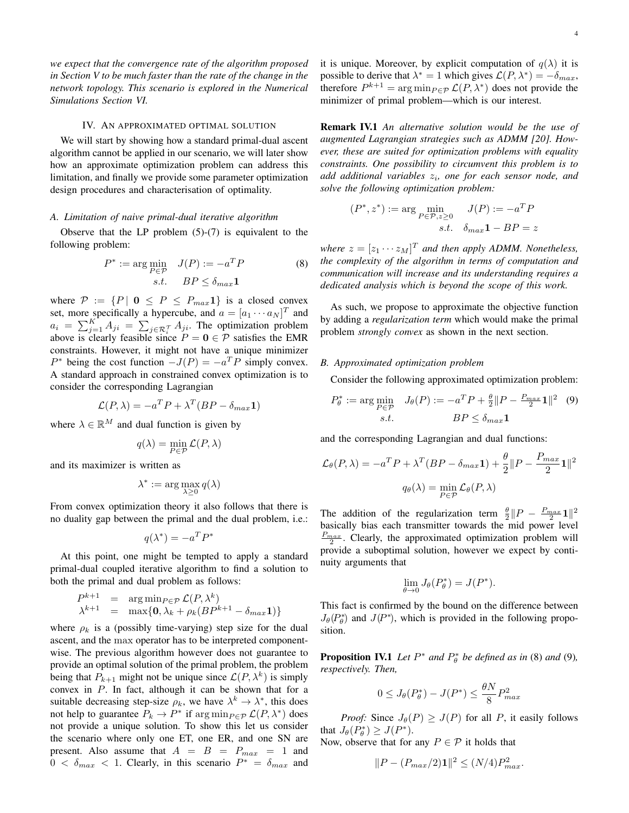*we expect that the convergence rate of the algorithm proposed in Section V to be much faster than the rate of the change in the network topology. This scenario is explored in the Numerical Simulations Section VI.*

### IV. AN APPROXIMATED OPTIMAL SOLUTION

We will start by showing how a standard primal-dual ascent algorithm cannot be applied in our scenario, we will later show how an approximate optimization problem can address this limitation, and finally we provide some parameter optimization design procedures and characterisation of optimality.

#### *A. Limitation of naive primal-dual iterative algorithm*

Observe that the LP problem  $(5)-(7)$  is equivalent to the following problem:

$$
P^* := \underset{P \in \mathcal{P}}{\text{arg min}} \quad J(P) := -a^T P \tag{8}
$$
  
s.t. 
$$
BP \le \delta_{max} \mathbf{1}
$$

where  $P := \{P \mid 0 \le P \le P_{max}1\}$  is a closed convex set, more specifically a hypercube, and  $a = [a_1 \cdots a_N]^T$  and  $a_i = \sum_{j=1}^K A_{ji} = \sum_{j \in \mathcal{R}_i^{\mathcal{T}}} A_{ji}$ . The optimization problem above is clearly feasible since  $P = 0 \in \mathcal{P}$  satisfies the EMR constraints. However, it might not have a unique minimizer  $P^*$  being the cost function  $-J(P) = -a^T P$  simply convex. A standard approach in constrained convex optimization is to consider the corresponding Lagrangian

$$
\mathcal{L}(P,\lambda) = -a^T P + \lambda^T (BP - \delta_{max} \mathbf{1})
$$

where  $\lambda \in \mathbb{R}^M$  and dual function is given by

$$
q(\lambda)=\min_{P\in\mathcal{P}}\mathcal{L}(P,\lambda)
$$

and its maximizer is written as

$$
\lambda^* := \arg\max_{\lambda \geq 0} q(\lambda)
$$

From convex optimization theory it also follows that there is no duality gap between the primal and the dual problem, i.e.:

$$
q(\lambda^*) = -a^T P^*
$$

At this point, one might be tempted to apply a standard primal-dual coupled iterative algorithm to find a solution to both the primal and dual problem as follows:

$$
P^{k+1} = \arg \min_{P \in \mathcal{P}} \mathcal{L}(P, \lambda^k)
$$
  

$$
\lambda^{k+1} = \max\{0, \lambda_k + \rho_k(BP^{k+1} - \delta_{max}\mathbf{1})\}
$$

where  $\rho_k$  is a (possibly time-varying) step size for the dual ascent, and the max operator has to be interpreted componentwise. The previous algorithm however does not guarantee to provide an optimal solution of the primal problem, the problem being that  $P_{k+1}$  might not be unique since  $\mathcal{L}(P, \lambda^k)$  is simply convex in  $P$ . In fact, although it can be shown that for a suitable decreasing step-size  $\rho_k$ , we have  $\lambda^k \to \lambda^*$ , this does not help to guarantee  $P_k \to P^*$  if  $\arg \min_{P \in \mathcal{P}} \mathcal{L}(P, \lambda^*)$  does not provide a unique solution. To show this let us consider the scenario where only one ET, one ER, and one SN are present. Also assume that  $A = B = P_{max} = 1$  and  $0 < \delta_{max} < 1$ . Clearly, in this scenario  $P^* = \delta_{max}$  and it is unique. Moreover, by explicit computation of  $q(\lambda)$  it is possible to derive that  $\lambda^* = 1$  which gives  $\mathcal{L}(P, \lambda^*) = -\delta_{max}$ , therefore  $P^{k+1} = \arg \min_{P \in \mathcal{P}} \mathcal{L}(P, \lambda^*)$  does not provide the minimizer of primal problem—which is our interest.

Remark IV.1 *An alternative solution would be the use of augmented Lagrangian strategies such as ADMM [20]. However, these are suited for optimization problems with equality constraints. One possibility to circumvent this problem is to* add additional variables  $z_i$ , one for each sensor node, and *solve the following optimization problem:*

$$
(P^*, z^*) := \arg\min_{P \in \mathcal{P}, z \ge 0} \quad J(P) := -a^T P
$$
  
s.t.  $\delta_{max} \mathbf{1} - BP = z$ 

where  $z = [z_1 \cdots z_M]^T$  and then apply ADMM. Nonetheless, *the complexity of the algorithm in terms of computation and communication will increase and its understanding requires a dedicated analysis which is beyond the scope of this work.*

As such, we propose to approximate the objective function by adding a *regularization term* which would make the primal problem *strongly convex* as shown in the next section.

#### *B. Approximated optimization problem*

Consider the following approximated optimization problem:

$$
P_{\theta}^* := \arg\min_{P \in \mathcal{P}} \quad J_{\theta}(P) := -a^T P + \frac{\theta}{2} ||P - \frac{P_{max}}{2} \mathbf{1}||^2 \quad (9)
$$
  
s.t. 
$$
BP \le \delta_{max} \mathbf{1}
$$

and the corresponding Lagrangian and dual functions:

$$
\mathcal{L}_{\theta}(P,\lambda) = -a^T P + \lambda^T (BP - \delta_{max}\mathbf{1}) + \frac{\theta}{2} ||P - \frac{P_{max}}{2}\mathbf{1}||^2
$$

$$
q_{\theta}(\lambda) = \min_{P \in \mathcal{P}} \mathcal{L}_{\theta}(P,\lambda)
$$

The addition of the regularization term  $\frac{\theta}{2} || P - \frac{P_{max}}{2} \mathbf{1} ||^2$ basically bias each transmitter towards the mid power level  $\frac{P_{max}}{2}$ . Clearly, the approximated optimization problem will provide a suboptimal solution, however we expect by continuity arguments that

$$
\lim_{\theta \to 0} J_{\theta}(P_{\theta}^*) = J(P^*).
$$

This fact is confirmed by the bound on the difference between  $J_{\theta}(P_{\theta}^{*})$  and  $J(P^{*})$ , which is provided in the following proposition.

**Proposition IV.1** Let  $P^*$  and  $P^*_{\theta}$  be defined as in (8) and (9), *respectively. Then,*

$$
0 \le J_{\theta}(P_{\theta}^*) - J(P^*) \le \frac{\theta N}{8} P_{max}^2
$$

*Proof:* Since  $J_{\theta}(P) \geq J(P)$  for all P, it easily follows that  $J_{\theta}(P_{\theta}^*) \geq J(P^*)$ .

Now, observe that for any  $P \in \mathcal{P}$  it holds that

$$
||P - (P_{max}/2)\mathbf{1}||^2 \le (N/4)P_{max}^2.
$$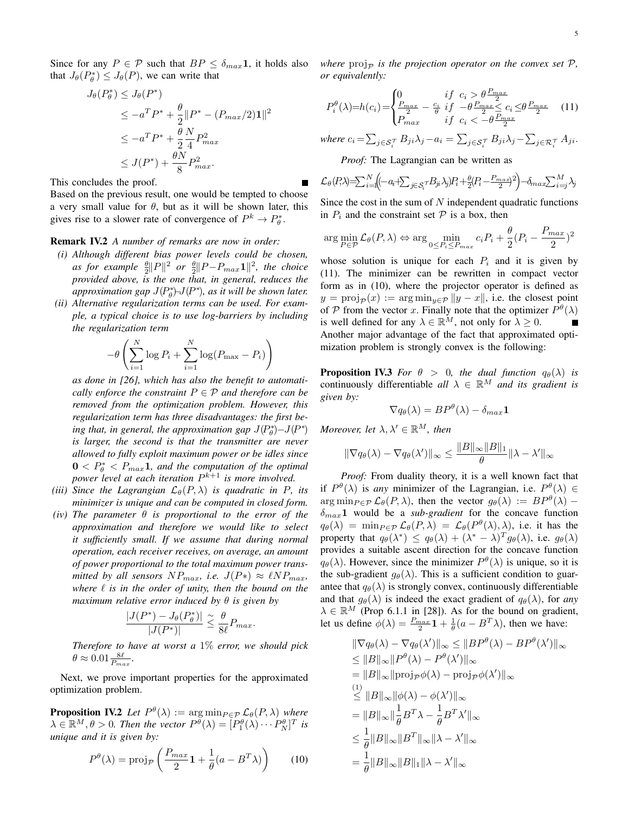Since for any  $P \in \mathcal{P}$  such that  $BP \leq \delta_{max} \mathbf{1}$ , it holds also that  $J_{\theta}(P_{\theta}^*) \leq J_{\theta}(P)$ , we can write that

$$
J_{\theta}(P_{\theta}^{*}) \leq J_{\theta}(P^{*})
$$
  
\n
$$
\leq -a^{T}P^{*} + \frac{\theta}{2}||P^{*} - (P_{max}/2)\mathbf{1}||^{2}
$$
  
\n
$$
\leq -a^{T}P^{*} + \frac{\theta}{2}\frac{N}{4}P_{max}^{2}
$$
  
\n
$$
\leq J(P^{*}) + \frac{\theta N}{8}P_{max}^{2}.
$$

This concludes the proof.

Based on the previous result, one would be tempted to choose a very small value for  $\theta$ , but as it will be shown later, this gives rise to a slower rate of convergence of  $P^k \to P^*_{\theta}$ .

# Remark IV.2 *A number of remarks are now in order:*

- *(i) Although different bias power levels could be chosen, as for example*  $\frac{\theta}{2}$ ||P||<sup>2</sup> *or*  $\frac{\theta}{2}$ ||P−P<sub>max</sub>1||<sup>2</sup>, the choice *provided above, is the one that, in general, reduces the approximation gap*  $J(P^*_{\theta})$  $J(P^*)$ , *as it will be shown later.*
- *(ii) Alternative regularization terms can be used. For example, a typical choice is to use log-barriers by including the regularization term*

$$
-\theta \left(\sum_{i=1}^{N} \log P_i + \sum_{i=1}^{N} \log(P_{\max} - P_i)\right)
$$

*as done in [26], which has also the benefit to automatically enforce the constraint*  $P \in \mathcal{P}$  *and therefore can be removed from the optimization problem. However, this regularization term has three disadvantages: the first being that, in general, the approximation gap*  $J(P^*_{\theta}) - J(P^*)$ *is larger, the second is that the transmitter are never allowed to fully exploit maximum power or be idles since*  $0 < P^*_{\theta} < P_{max}1$ , and the computation of the optimal *power level at each iteration* P <sup>k</sup>+1 *is more involved.*

- *(iii) Since the Lagrangian*  $\mathcal{L}_{\theta}(P, \lambda)$  *is quadratic in* P, *its minimizer is unique and can be computed in closed form.*
- *(iv) The parameter* θ *is proportional to the error of the approximation and therefore we would like to select it sufficiently small. If we assume that during normal operation, each receiver receives, on average, an amount of power proportional to the total maximum power transmitted by all sensors*  $NP_{max}$ *, i.e.*  $J(P*) \approx \ell NP_{max}$ , where  $\ell$  *is in the order of unity, then the bound on the maximum relative error induced by* θ *is given by*

$$
\frac{|J(P^*) - J_{\theta}(P_{\theta}^*)|}{|J(P^*)|} \leq \frac{\theta}{8\ell} P_{max}.
$$

*Therefore to have at worst a* 1% *error, we should pick*  $\theta \approx 0.01 \frac{8\ell}{P_{max}}.$ 

Next, we prove important properties for the approximated optimization problem.

**Proposition IV.2** Let  $P^{\theta}(\lambda) := \arg \min_{P \in \mathcal{P}} \mathcal{L}_{\theta}(P, \lambda)$  where  $\lambda \in \mathbb{R}^M, \theta > 0$ . Then the vector  $P^{\bar{\theta}}(\lambda) = [P_1^{\theta}(\lambda) \cdots P_N^{\theta}]^T$  is *unique and it is given by:*

$$
P^{\theta}(\lambda) = \text{proj}_{\mathcal{P}}\left(\frac{P_{max}}{2}\mathbf{1} + \frac{1}{\theta}(a - B^T\lambda)\right) \tag{10}
$$

*where*  $proj_{\mathcal{D}}$  *is the projection operator on the convex set*  $\mathcal{P}$ *, or equivalently:*

$$
P_i^{\theta}(\lambda) = h(c_i) = \begin{cases} 0 & \text{if } c_i > \theta \frac{P_{max}}{2} \\ \frac{P_{max}}{2} - \frac{c_i}{\theta} & \text{if } -\theta \frac{P_{max}}{2} \le c_i \le \theta \frac{P_{max}}{2} \\ P_{max} & \text{if } c_i < -\theta \frac{P_{max}}{2} \end{cases} \tag{11}
$$

where  $c_i = \sum_{j \in \mathcal{S}_i^{\mathcal{T}}} B_{ji} \lambda_j - a_i = \sum_{j \in \mathcal{S}_i^{\mathcal{T}}} B_{ji} \lambda_j - \sum_{j \in \mathcal{R}_i^{\mathcal{T}}} A_{ji}.$ 

*Proof:* The Lagrangian can be written as

$$
\mathcal{L}_{\theta}(P,\lambda) = \sum_{i=1}^{N} \left( \left( -a_i + \sum_{j \in \mathcal{S}_i} B_{ji} \lambda_j \right) P_i + \frac{\theta}{2} \left( P_i - \frac{P_{max}}{2} \right)^2 \right) - \delta_{max} \sum_{i=j}^{M} \lambda_j
$$

Since the cost in the sum of  $N$  independent quadratic functions in  $P_i$  and the constraint set  $P$  is a box, then

$$
\arg\min_{P \in \mathcal{P}} \mathcal{L}_{\theta}(P,\lambda) \Leftrightarrow \arg\min_{0 \le P_i \le P_{max}} c_i P_i + \frac{\theta}{2} (P_i - \frac{P_{max}}{2})^2
$$

whose solution is unique for each  $P_i$  and it is given by (11). The minimizer can be rewritten in compact vector form as in (10), where the projector operator is defined as  $y = \text{proj}_{\mathcal{P}}(x) := \arg \min_{y \in \mathcal{P}} ||y - x||$ , i.e. the closest point of P from the vector x. Finally note that the optimizer  $P^{\theta}(\lambda)$ is well defined for any  $\lambda \in \mathbb{R}^M$ , not only for  $\lambda \geq 0$ . Another major advantage of the fact that approximated optimization problem is strongly convex is the following:

**Proposition IV.3** *For*  $\theta > 0$ *, the dual function*  $q_{\theta}(\lambda)$  *is* continuously differentiable *all*  $\lambda \in \mathbb{R}^M$  *and its gradient is given by:*

$$
\nabla q_{\theta}(\lambda) = BP^{\theta}(\lambda) - \delta_{max}\mathbf{1}
$$

*Moreover, let*  $\lambda, \lambda' \in \mathbb{R}^M$ *, then* 

$$
\|\nabla q_{\theta}(\lambda) - \nabla q_{\theta}(\lambda')\|_{\infty} \le \frac{\|B\|_{\infty} \|B\|_{1}}{\theta} \|\lambda - \lambda'\|_{\infty}
$$

*Proof:* From duality theory, it is a well known fact that if  $P^{\theta}(\lambda)$  is *any* minimizer of the Lagrangian, i.e.  $P^{\theta}(\lambda) \in$  $\arg \min_{P \in \mathcal{P}} \mathcal{L}_{\theta}(P, \lambda)$ , then the vector  $g_{\theta}(\lambda) := BP^{\theta}(\lambda) \delta_{max}$ 1 would be a *sub-gradient* for the concave function  $q_{\theta}(\lambda) = \min_{P \in \mathcal{P}} \mathcal{L}_{\theta}(P, \lambda) = \mathcal{L}_{\theta}(P^{\theta}(\lambda), \lambda)$ , i.e. it has the property that  $q_{\theta}(\lambda^*) \leq q_{\theta}(\lambda) + (\lambda^* - \lambda)^T g_{\theta}(\lambda)$ , i.e.  $g_{\theta}(\lambda)$ provides a suitable ascent direction for the concave function  $q_{\theta}(\lambda)$ . However, since the minimizer  $P^{\theta}(\lambda)$  is unique, so it is the sub-gradient  $q_{\theta}(\lambda)$ . This is a sufficient condition to guarantee that  $q_{\theta}(\lambda)$  is strongly convex, continuously differentiable and that  $g_{\theta}(\lambda)$  is indeed the exact gradient of  $g_{\theta}(\lambda)$ , for *any*  $\lambda \in \mathbb{R}^M$  (Prop 6.1.1 in [28]). As for the bound on gradient, let us define  $\bar{\phi}(\lambda) = \frac{P_{max}}{2} \mathbf{1} + \frac{1}{\theta} (a - B^T \lambda)$ , then we have:

$$
\|\nabla q_{\theta}(\lambda) - \nabla q_{\theta}(\lambda')\|_{\infty} \le \|BP^{\theta}(\lambda) - BP^{\theta}(\lambda')\|_{\infty}
$$
  
\n
$$
\le \|B\|_{\infty} \|P^{\theta}(\lambda) - P^{\theta}(\lambda')\|_{\infty}
$$
  
\n
$$
= \|B\|_{\infty} \|proj_{P}\phi(\lambda) - \text{proj}_{P}\phi(\lambda')\|_{\infty}
$$
  
\n
$$
\le \|B\|_{\infty} \|\phi(\lambda) - \phi(\lambda')\|_{\infty}
$$
  
\n
$$
= \|B\|_{\infty} \|\frac{1}{\theta}B^{T}\lambda - \frac{1}{\theta}B^{T}\lambda'\|_{\infty}
$$
  
\n
$$
\le \frac{1}{\theta} \|B\|_{\infty} \|B^{T}\|_{\infty} \|\lambda - \lambda'\|_{\infty}
$$
  
\n
$$
= \frac{1}{\theta} \|B\|_{\infty} \|B\|_{1} \|\lambda - \lambda'\|_{\infty}
$$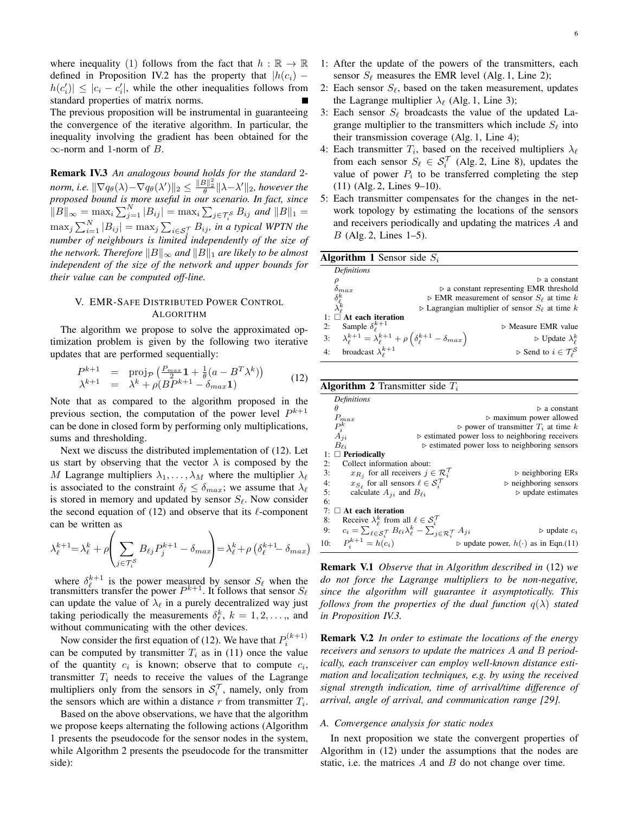where inequality (1) follows from the fact that  $h : \mathbb{R} \to \mathbb{R}$ defined in Proposition IV.2 has the property that  $|h(c_i) |h(c_i')| \leq |c_i - c_i'|$ , while the other inequalities follows from standard properties of matrix norms. The previous proposition will be instrumental in guaranteeing the convergence of the iterative algorithm. In particular, the inequality involving the gradient has been obtained for the

 $\infty$ -norm and 1-norm of B.

Remark IV.3 *An analogous bound holds for the standard* 2 *norm, i.e.*  $\|\nabla q_\theta(\lambda) - \nabla q_\theta(\lambda')\|_2 \leq \frac{\|B\|_2^2}{\theta} \|\lambda - \lambda'\|_2$ , however the *proposed bound is more useful in our scenario. In fact, since*  $||B||_{\infty} = \max_{i} \sum_{j=1}^{N} |B_{ij}| = \max_{i} \sum_{j \in \mathcal{T}_{i}^S} B_{ij}$  and  $||B||_1 =$  $\max_j \sum_{i=1}^N |B_{ij}| = \max_j \sum_{i \in \mathcal{S}_j^{\mathcal{T}}} B_{ij}$ *, in a typical WPTN the number of neighbours is limited independently of the size of the network. Therefore*  $||B||_{\infty}$  *and*  $||B||_1$  *are likely to be almost independent of the size of the network and upper bounds for their value can be computed off-line.*

# V. EMR-SAFE DISTRIBUTED POWER CONTROL ALGORITHM

The algorithm we propose to solve the approximated optimization problem is given by the following two iterative updates that are performed sequentially:

$$
P^{k+1} = \text{proj}_{\mathcal{P}}\left(\frac{P_{max}}{2}\mathbf{1} + \frac{1}{\theta}(a - B^T \lambda^k)\right)
$$
  

$$
\lambda^{k+1} = \lambda^k + \rho(B P^{k+1} - \delta_{max} \mathbf{1})
$$
 (12)

Note that as compared to the algorithm proposed in the previous section, the computation of the power level  $P^{k+1}$ can be done in closed form by performing only multiplications, sums and thresholding.

Next we discuss the distributed implementation of (12). Let us start by observing that the vector  $\lambda$  is composed by the M Lagrange multipliers  $\lambda_1, \ldots, \lambda_M$  where the multiplier  $\lambda_\ell$ is associated to the constraint  $\delta_\ell \leq \delta_{max}$ ; we assume that  $\lambda_\ell$ is stored in memory and updated by sensor  $S_\ell$ . Now consider the second equation of (12) and observe that its  $\ell$ -component can be written as

$$
\lambda_{\ell}^{k+1} = \lambda_{\ell}^{k} + \rho \left( \sum_{j \in \mathcal{T}_{i}^{S}} B_{\ell j} P_{j}^{k+1} - \delta_{max} \right) = \lambda_{\ell}^{k} + \rho \left( \delta_{\ell}^{k+1} - \delta_{max} \right)
$$

where  $\delta_{\ell}^{k+1}$  is the power measured by sensor  $S_{\ell}$  when the transmitters transfer the power  $P^{k+1}$ . It follows that sensor  $S_{\ell}$ can update the value of  $\lambda_{\ell}$  in a purely decentralized way just taking periodically the measurements  $\delta_{\ell}^{k}$ ,  $k = 1, 2, \dots$ , and without communicating with the other devices.

Now consider the first equation of (12). We have that  $P_i^{(k+1)}$ can be computed by transmitter  $T_i$  as in (11) once the value of the quantity  $c_i$  is known; observe that to compute  $c_i$ , transmitter  $T_i$  needs to receive the values of the Lagrange multipliers only from the sensors in  $S_i^{\mathcal{T}}$ , namely, only from the sensors which are within a distance  $r$  from transmitter  $T_i$ .

Based on the above observations, we have that the algorithm we propose keeps alternating the following actions (Algorithm 1 presents the pseudocode for the sensor nodes in the system, while Algorithm 2 presents the pseudocode for the transmitter side):

- 2: Each sensor  $S_{\ell}$ , based on the taken measurement, updates the Lagrange multiplier  $\lambda_{\ell}$  (Alg. 1, Line 3);
- 3: Each sensor  $S_{\ell}$  broadcasts the value of the updated Lagrange multiplier to the transmitters which include  $S_\ell$  into their transmission coverage (Alg. 1, Line 4);
- 4: Each transmitter  $T_i$ , based on the received multipliers  $\lambda_{\ell}$ from each sensor  $S_\ell \in S_i^{\mathcal{T}}$  (Alg. 2, Line 8), updates the value of power  $P_i$  to be transferred completing the step (11) (Alg. 2, Lines 9–10).
- 5: Each transmitter compensates for the changes in the network topology by estimating the locations of the sensors and receivers periodically and updating the matrices A and B (Alg. 2, Lines 1–5).

| <b>Algorithm 1</b> Sensor side $S_i$ |                                                                                                           |                                                                               |  |  |  |  |  |
|--------------------------------------|-----------------------------------------------------------------------------------------------------------|-------------------------------------------------------------------------------|--|--|--|--|--|
|                                      | <b>Definitions</b>                                                                                        |                                                                               |  |  |  |  |  |
|                                      |                                                                                                           | $\triangleright$ a constant                                                   |  |  |  |  |  |
|                                      |                                                                                                           | $\triangleright$ a constant representing EMR threshold                        |  |  |  |  |  |
|                                      |                                                                                                           | $\triangleright$ EMR measurement of sensor $S_{\ell}$ at time k               |  |  |  |  |  |
|                                      | $\rho \ \delta_{max} \ \delta^k_\ell \ \lambda^k_\ell$                                                    | $\triangleright$ Lagrangian multiplier of sensor $S_{\ell}$ at time k         |  |  |  |  |  |
|                                      | $1: \Box$ At each iteration                                                                               |                                                                               |  |  |  |  |  |
| 2:                                   | Sample $\delta_{\ell}^{k+1}$                                                                              | $\triangleright$ Measure EMR value                                            |  |  |  |  |  |
|                                      | 3: $\lambda_{\ell}^{k+1} = \lambda_{\ell}^{k+1} + \rho \left( \delta_{\ell}^{k+1} - \delta_{max} \right)$ | $\triangleright$ Update $\lambda_{\ell}^{k}$                                  |  |  |  |  |  |
| 4:                                   | broadcast $\lambda_{\ell}^{k+1}$                                                                          | $\triangleright$ Send to $i\in \mathcal{T}^{\mathcal{S}}_{\boldsymbol{\rho}}$ |  |  |  |  |  |
|                                      |                                                                                                           |                                                                               |  |  |  |  |  |

**Algorithm 2** Transmitter side  $T_i$ 

|     | <b>Definitions</b>                                                                                                                |                                                                |  |  |  |  |
|-----|-----------------------------------------------------------------------------------------------------------------------------------|----------------------------------------------------------------|--|--|--|--|
|     | Ĥ                                                                                                                                 | $\triangleright$ a constant                                    |  |  |  |  |
|     | $P_{max}$                                                                                                                         | $\triangleright$ maximum power allowed                         |  |  |  |  |
|     |                                                                                                                                   | $\triangleright$ power of transmitter $T_i$ at time k          |  |  |  |  |
|     | $P_{i}^{k}$<br>$A_{ji}$                                                                                                           | $\triangleright$ estimated power loss to neighboring receivers |  |  |  |  |
|     | $B_{\ell i}$                                                                                                                      | $\triangleright$ estimated power loss to neighboring sensors   |  |  |  |  |
|     | $1: \Box$ Periodically                                                                                                            |                                                                |  |  |  |  |
| 2:  | Collect information about:                                                                                                        |                                                                |  |  |  |  |
| 3:  | $x_{R_i}$ for all receivers $j \in \mathcal{R}_i^{\mathcal{T}}$                                                                   | $\triangleright$ neighboring ERs                               |  |  |  |  |
| 4:  | $x_{S_{\ell}}$ for all sensors $\ell \in \mathcal{S}_i^{\mathcal{T}}$                                                             | $\triangleright$ neighboring sensors                           |  |  |  |  |
| 5:  | calculate $A_{ii}$ and $B_{\ell i}$                                                                                               | $\triangleright$ update estimates                              |  |  |  |  |
| 6:  |                                                                                                                                   |                                                                |  |  |  |  |
|     | 7: $\Box$ At each iteration                                                                                                       |                                                                |  |  |  |  |
| 8:  | Receive $\lambda_{\ell}^{k}$ from all $\ell \in \mathcal{S}_{i}^{\mathcal{T}}$                                                    |                                                                |  |  |  |  |
| 9:  | $c_i = \sum_{\ell \in \mathcal{S}_i^{\mathcal{T}}} B_{\ell i} \lambda_{\ell}^k - \sum_{j \in \mathcal{R}_i^{\mathcal{T}}} A_{ji}$ | $\triangleright$ update $c_i$                                  |  |  |  |  |
| 10: | $P_i^{k+1} = h(c_i)$                                                                                                              | $\triangleright$ update power, $h(\cdot)$ as in Eqn.(11)       |  |  |  |  |
|     |                                                                                                                                   |                                                                |  |  |  |  |

Remark V.1 *Observe that in Algorithm described in* (12) *we do not force the Lagrange multipliers to be non-negative, since the algorithm will guarantee it asymptotically. This follows from the properties of the dual function*  $q(\lambda)$  *stated in Proposition IV.3.*

Remark V.2 *In order to estimate the locations of the energy receivers and sensors to update the matrices* A *and* B *periodically, each transceiver can employ well-known distance estimation and localization techniques, e.g. by using the received signal strength indication, time of arrival/time difference of arrival, angle of arrival, and communication range [29].*

# *A. Convergence analysis for static nodes*

In next proposition we state the convergent properties of Algorithm in (12) under the assumptions that the nodes are static, i.e. the matrices  $A$  and  $B$  do not change over time.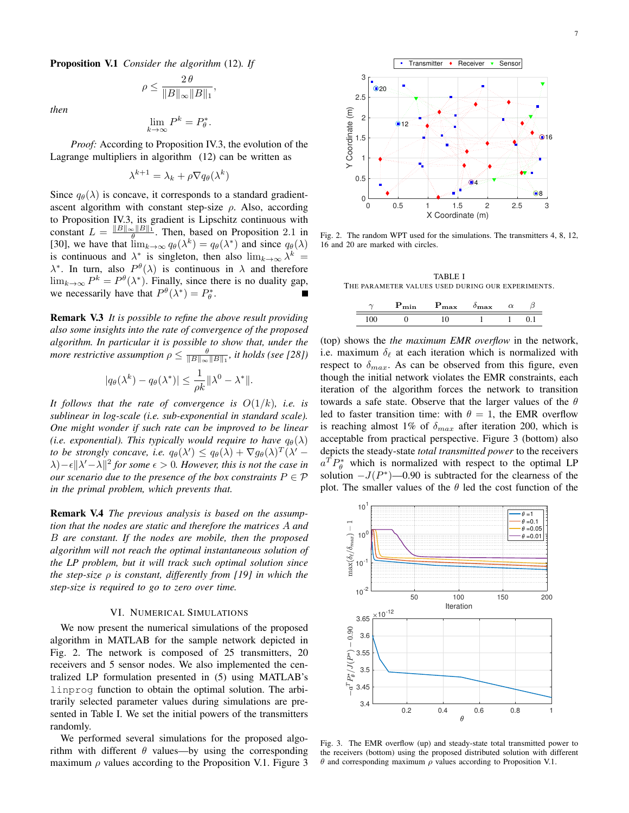Proposition V.1 *Consider the algorithm* (12)*. If*

$$
\rho \le \frac{2\,\theta}{\|B\|_{\infty}\|B\|_1},
$$

*then*

$$
\lim_{k \to \infty} P^k = P^*_{\theta}.
$$

*Proof:* According to Proposition IV.3, the evolution of the Lagrange multipliers in algorithm (12) can be written as

$$
\lambda^{k+1} = \lambda_k + \rho \nabla q_{\theta}(\lambda^k)
$$

Since  $q_{\theta}(\lambda)$  is concave, it corresponds to a standard gradientascent algorithm with constant step-size  $\rho$ . Also, according to Proposition IV.3, its gradient is Lipschitz continuous with constant  $L = \frac{\|B\|_{\infty} \|B\|_1}{\theta}$ . Then, based on Proposition 2.1 in [30], we have that  $\lim_{k\to\infty} q_\theta(\lambda^k) = q_\theta(\lambda^*)$  and since  $q_\theta(\lambda)$ is continuous and  $\lambda^*$  is singleton, then also  $\lim_{k\to\infty}\lambda^k =$  $\lambda^*$ . In turn, also  $P^{\theta}(\lambda)$  is continuous in  $\lambda$  and therefore  $\lim_{k\to\infty} P^k = P^{\theta}(\lambda^*)$ . Finally, since there is no duality gap, we necessarily have that  $P^{\theta}(\lambda^*) = P_{\theta}^*$ .

Remark V.3 *It is possible to refine the above result providing also some insights into the rate of convergence of the proposed algorithm. In particular it is possible to show that, under the more restrictive assumption*  $\rho \leq \frac{\theta}{\|B\|_{\infty} \|B\|_1}$ , *it holds (see [28])* 

$$
|q_{\theta}(\lambda^k) - q_{\theta}(\lambda^*)| \leq \frac{1}{\rho k} ||\lambda^0 - \lambda^*||.
$$

*It follows that the rate of convergence is* O(1/k)*, i.e. is sublinear in log-scale (i.e. sub-exponential in standard scale). One might wonder if such rate can be improved to be linear (i.e. exponential). This typically would require to have*  $q_{\theta}(\lambda)$ *to be strongly concave, i.e.*  $q_{\theta}(\lambda') \leq q_{\theta}(\lambda) + \nabla g_{\theta}(\lambda)^T (\lambda' \lambda$ ) –  $\epsilon$  || $\lambda'$  –  $\lambda$ ||<sup>2</sup> for some  $\epsilon > 0$ . However, this is not the case in *our scenario due to the presence of the box constraints*  $P \in \mathcal{P}$ *in the primal problem, which prevents that.*

Remark V.4 *The previous analysis is based on the assumption that the nodes are static and therefore the matrices* A *and* B *are constant. If the nodes are mobile, then the proposed algorithm will not reach the optimal instantaneous solution of the LP problem, but it will track such optimal solution since the step-size* ρ *is constant, differently from [19] in which the step-size is required to go to zero over time.*

#### VI. NUMERICAL SIMULATIONS

We now present the numerical simulations of the proposed algorithm in MATLAB for the sample network depicted in Fig. 2. The network is composed of 25 transmitters, 20 receivers and 5 sensor nodes. We also implemented the centralized LP formulation presented in (5) using MATLAB's linprog function to obtain the optimal solution. The arbitrarily selected parameter values during simulations are presented in Table I. We set the initial powers of the transmitters randomly.

We performed several simulations for the proposed algorithm with different  $\theta$  values—by using the corresponding maximum  $\rho$  values according to the Proposition V.1. Figure 3



Fig. 2. The random WPT used for the simulations. The transmitters 4, 8, 12, 16 and 20 are marked with circles.

TABLE I THE PARAMETER VALUES USED DURING OUR EXPERIMENTS.

|  | max<br> | max |  |
|--|---------|-----|--|
|  |         |     |  |

(top) shows the *the maximum EMR overflow* in the network, i.e. maximum  $\delta_{\ell}$  at each iteration which is normalized with respect to  $\delta_{max}$ . As can be observed from this figure, even though the initial network violates the EMR constraints, each iteration of the algorithm forces the network to transition towards a safe state. Observe that the larger values of the  $\theta$ led to faster transition time: with  $\theta = 1$ , the EMR overflow is reaching almost 1% of  $\delta_{max}$  after iteration 200, which is acceptable from practical perspective. Figure 3 (bottom) also depicts the steady-state *total transmitted power* to the receivers  $a^T P_{\theta}^*$  which is normalized with respect to the optimal LP solution  $-J(P^*)$ —0.90 is subtracted for the clearness of the plot. The smaller values of the  $\theta$  led the cost function of the



Fig. 3. The EMR overflow (up) and steady-state total transmitted power to the receivers (bottom) using the proposed distributed solution with different θ and corresponding maximum  $ρ$  values according to Proposition V.1.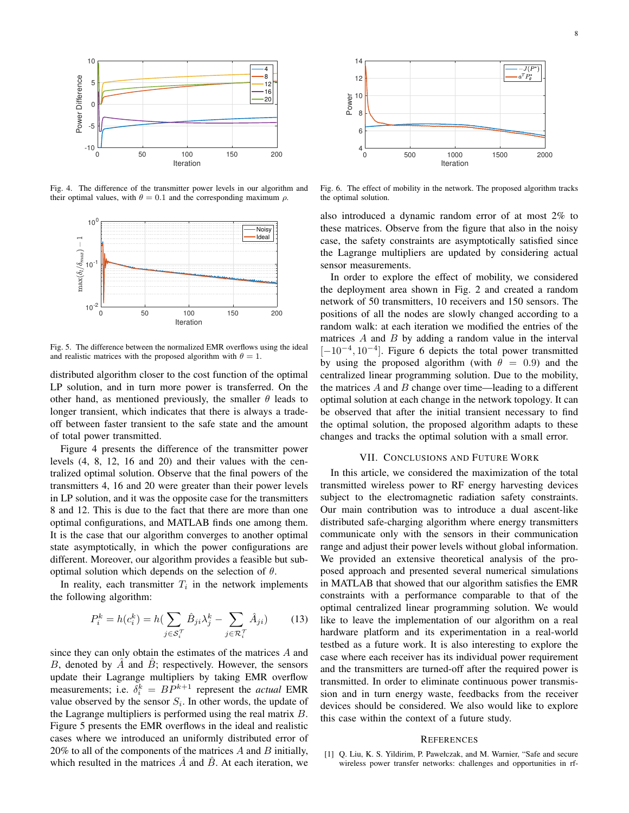

Fig. 4. The difference of the transmitter power levels in our algorithm and their optimal values, with  $\theta = 0.1$  and the corresponding maximum  $\rho$ .



Fig. 5. The difference between the normalized EMR overflows using the ideal and realistic matrices with the proposed algorithm with  $\theta = 1$ .

distributed algorithm closer to the cost function of the optimal LP solution, and in turn more power is transferred. On the other hand, as mentioned previously, the smaller  $\theta$  leads to longer transient, which indicates that there is always a tradeoff between faster transient to the safe state and the amount of total power transmitted.

Figure 4 presents the difference of the transmitter power levels (4, 8, 12, 16 and 20) and their values with the centralized optimal solution. Observe that the final powers of the transmitters 4, 16 and 20 were greater than their power levels in LP solution, and it was the opposite case for the transmitters 8 and 12. This is due to the fact that there are more than one optimal configurations, and MATLAB finds one among them. It is the case that our algorithm converges to another optimal state asymptotically, in which the power configurations are different. Moreover, our algorithm provides a feasible but suboptimal solution which depends on the selection of  $\theta$ .

In reality, each transmitter  $T_i$  in the network implements the following algorithm:

$$
P_i^k = h(c_i^k) = h\left(\sum_{j \in \mathcal{S}_i^T} \hat{B}_{ji} \lambda_j^k - \sum_{j \in \mathcal{R}_i^T} \hat{A}_{ji}\right) \tag{13}
$$

since they can only obtain the estimates of the matrices A and B, denoted by  $\ddot{A}$  and  $\ddot{B}$ ; respectively. However, the sensors update their Lagrange multipliers by taking EMR overflow measurements; i.e.  $\delta_i^k = BP^{k+1}$  represent the *actual* EMR value observed by the sensor  $S_i$ . In other words, the update of the Lagrange multipliers is performed using the real matrix  $B$ . Figure 5 presents the EMR overflows in the ideal and realistic cases where we introduced an uniformly distributed error of  $20\%$  to all of the components of the matrices  $\ddot{A}$  and  $\ddot{B}$  initially, which resulted in the matrices  $\hat{A}$  and  $\hat{B}$ . At each iteration, we



Fig. 6. The effect of mobility in the network. The proposed algorithm tracks the optimal solution.

also introduced a dynamic random error of at most 2% to these matrices. Observe from the figure that also in the noisy case, the safety constraints are asymptotically satisfied since the Lagrange multipliers are updated by considering actual sensor measurements.

In order to explore the effect of mobility, we considered the deployment area shown in Fig. 2 and created a random network of 50 transmitters, 10 receivers and 150 sensors. The positions of all the nodes are slowly changed according to a random walk: at each iteration we modified the entries of the matrices  $A$  and  $B$  by adding a random value in the interval  $[-10^{-4}, 10^{-4}]$ . Figure 6 depicts the total power transmitted by using the proposed algorithm (with  $\theta = 0.9$ ) and the centralized linear programming solution. Due to the mobility, the matrices  $A$  and  $B$  change over time—leading to a different optimal solution at each change in the network topology. It can be observed that after the initial transient necessary to find the optimal solution, the proposed algorithm adapts to these changes and tracks the optimal solution with a small error.

#### VII. CONCLUSIONS AND FUTURE WORK

In this article, we considered the maximization of the total transmitted wireless power to RF energy harvesting devices subject to the electromagnetic radiation safety constraints. Our main contribution was to introduce a dual ascent-like distributed safe-charging algorithm where energy transmitters communicate only with the sensors in their communication range and adjust their power levels without global information. We provided an extensive theoretical analysis of the proposed approach and presented several numerical simulations in MATLAB that showed that our algorithm satisfies the EMR constraints with a performance comparable to that of the optimal centralized linear programming solution. We would like to leave the implementation of our algorithm on a real hardware platform and its experimentation in a real-world testbed as a future work. It is also interesting to explore the case where each receiver has its individual power requirement and the transmitters are turned-off after the required power is transmitted. In order to eliminate continuous power transmission and in turn energy waste, feedbacks from the receiver devices should be considered. We also would like to explore this case within the context of a future study.

#### **REFERENCES**

[1] Q. Liu, K. S. Yildirim, P. Pawełczak, and M. Warnier, "Safe and secure wireless power transfer networks: challenges and opportunities in rf-